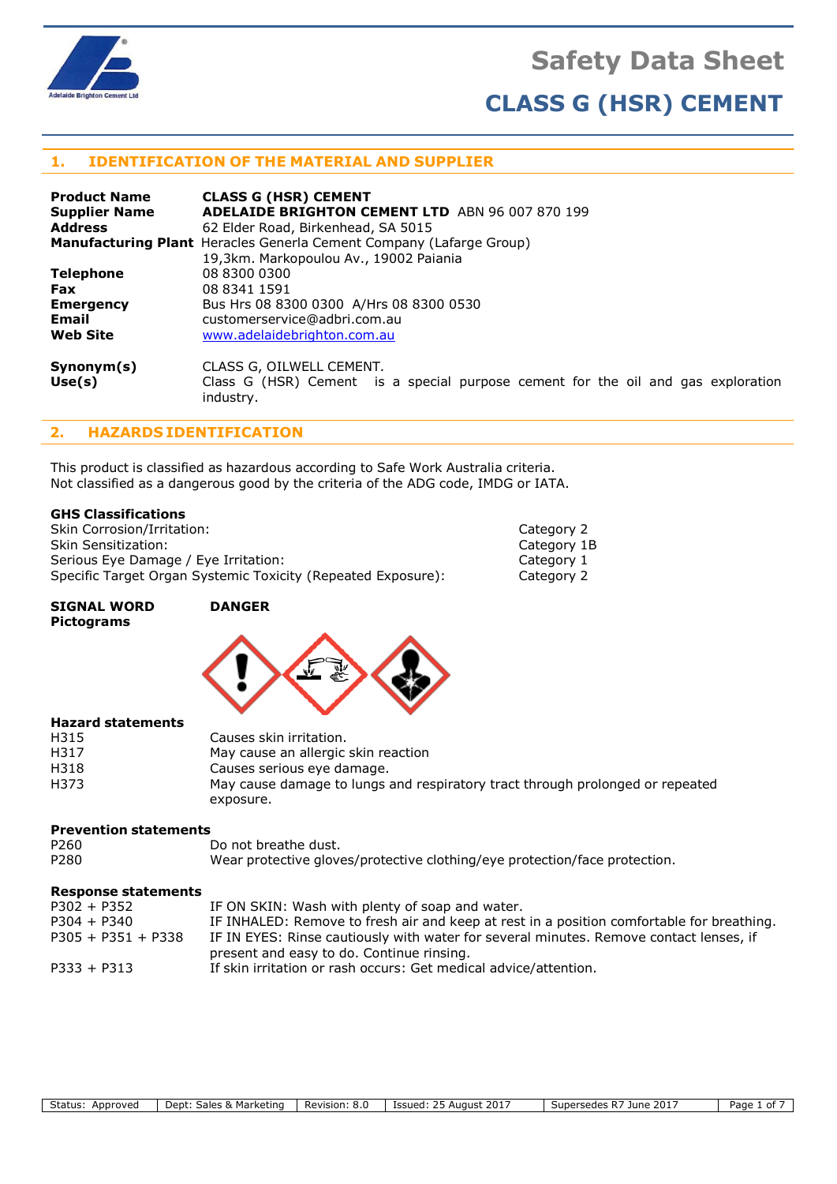



## **1. IDENTIFICATION OF THE MATERIAL AND SUPPLIER**

| <b>Product Name</b>  | <b>CLASS G (HSR) CEMENT</b>                                                                   |
|----------------------|-----------------------------------------------------------------------------------------------|
| <b>Supplier Name</b> | <b>ADELAIDE BRIGHTON CEMENT LTD</b> ABN 96 007 870 199                                        |
| <b>Address</b>       | 62 Elder Road, Birkenhead, SA 5015                                                            |
|                      | <b>Manufacturing Plant</b> Heracles Generla Cement Company (Lafarge Group)                    |
|                      | 19,3km. Markopoulou Av., 19002 Paiania                                                        |
| <b>Telephone</b>     | 08 8300 0300                                                                                  |
| <b>Fax</b>           | 08 8341 1591                                                                                  |
| <b>Emergency</b>     | Bus Hrs 08 8300 0300 A/Hrs 08 8300 0530                                                       |
| Email                | customerservice@adbri.com.au                                                                  |
| <b>Web Site</b>      | www.adelaidebrighton.com.au                                                                   |
| Symonym(s)           | CLASS G, OILWELL CEMENT.                                                                      |
| Use(s)               | Class G (HSR) Cement is a special purpose cement for the oil and gas exploration<br>industry. |

# **2. HAZARDS IDENTIFICATION**

This product is classified as hazardous according to Safe Work Australia criteria. Not classified as a dangerous good by the criteria of the ADG code, IMDG or IATA.

#### **GHS Classifications**

Skin Corrosion/Irritation: Category 2 Skin Sensitization: Category 1B Serious Eye Damage / Eye Irritation: Category 1 Specific Target Organ Systemic Toxicity (Repeated Exposure): Category 2

#### **SIGNAL WORD DANGER Pictograms**



### **Hazard statements**

| H315 | Causes skin irritation.                                                       |
|------|-------------------------------------------------------------------------------|
| H317 | May cause an allergic skin reaction                                           |
| H318 | Causes serious eye damage.                                                    |
| H373 | May cause damage to lungs and respiratory tract through prolonged or repeated |
|      | exposure.                                                                     |

### **Prevention statements**

| P <sub>260</sub> | Do not breathe dust.                                                       |
|------------------|----------------------------------------------------------------------------|
| P <sub>280</sub> | Wear protective gloves/protective clothing/eye protection/face protection. |

#### **Response statements**

| IF ON SKIN: Wash with plenty of soap and water.                                           |
|-------------------------------------------------------------------------------------------|
| IF INHALED: Remove to fresh air and keep at rest in a position comfortable for breathing. |
| IF IN EYES: Rinse cautiously with water for several minutes. Remove contact lenses, if    |
| present and easy to do. Continue rinsing.                                                 |
| If skin irritation or rash occurs: Get medical advice/attention.                          |
|                                                                                           |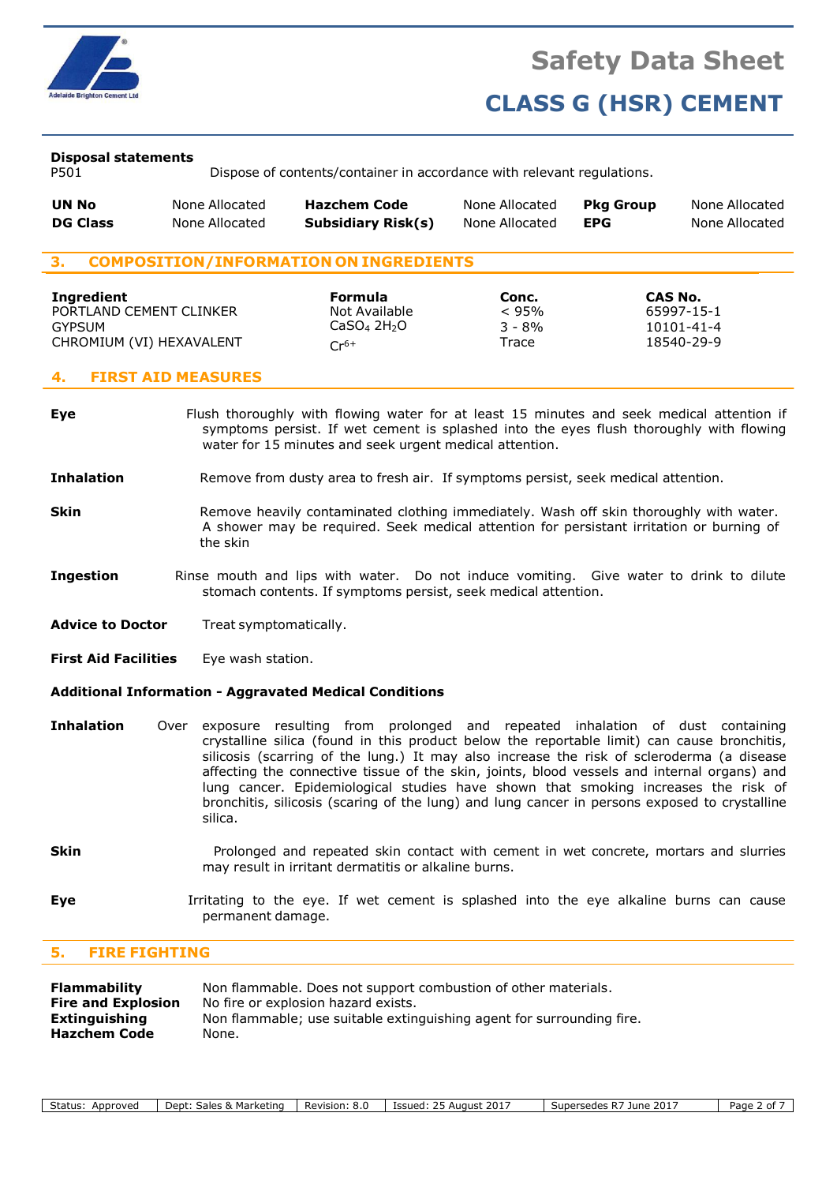

#### **Disposal statements**

P501 Dispose of contents/container in accordance with relevant regulations.

| UN No           | None Allocated | <b>Hazchem Code</b>       | None Allocated | <b>Pka Group</b> | None Allocated |
|-----------------|----------------|---------------------------|----------------|------------------|----------------|
| <b>DG Class</b> | None Allocated | <b>Subsidiary Risk(s)</b> | None Allocated | <b>EPG</b>       | None Allocated |
|                 |                |                           |                |                  |                |

### **3. COMPOSITION/INFORMATION ON INGREDIENTS**

| Ingredient<br>PORTLAND CEMENT CLINKER<br>GYPSUM<br>CHROMIUM (VI) HEXAVALENT | <b>Formula</b><br>Not Available<br>$CaSO4 2H2O1$ | Conc.<br>< 95%<br>$3 - 8%$<br>$\tau$ race | CAS No.<br>65997-15-1<br>10101-41-4<br>18540-29-9 |
|-----------------------------------------------------------------------------|--------------------------------------------------|-------------------------------------------|---------------------------------------------------|
|                                                                             | $Cr^{6+}$                                        |                                           |                                                   |

#### **4. FIRST AID MEASURES**

- **Eye** Flush thoroughly with flowing water for at least 15 minutes and seek medical attention if symptoms persist. If wet cement is splashed into the eyes flush thoroughly with flowing water for 15 minutes and seek urgent medical attention.
- **Inhalation** Remove from dusty area to fresh air. If symptoms persist, seek medical attention.
- **Skin** Remove heavily contaminated clothing immediately. Wash off skin thoroughly with water. A shower may be required. Seek medical attention for persistant irritation or burning of the skin
- **Ingestion** Rinse mouth and lips with water. Do not induce vomiting. Give water to drink to dilute stomach contents. If symptoms persist, seek medical attention.
- **Advice to Doctor** Treat symptomatically.
- **First Aid Facilities** Eye wash station.

#### **Additional Information - Aggravated Medical Conditions**

- **Inhalation** Over exposure resulting from prolonged and repeated inhalation of dust containing crystalline silica (found in this product below the reportable limit) can cause bronchitis, silicosis (scarring of the lung.) It may also increase the risk of scleroderma (a disease affecting the connective tissue of the skin, joints, blood vessels and internal organs) and lung cancer. Epidemiological studies have shown that smoking increases the risk of bronchitis, silicosis (scaring of the lung) and lung cancer in persons exposed to crystalline silica.
- **Skin Prolonged and repeated skin contact with cement in wet concrete, mortars and slurries** may result in irritant dermatitis or alkaline burns.
- **Eye I**rritating to the eye. If wet cement is splashed into the eye alkaline burns can cause permanent damage.

### **5. FIRE FIGHTING**

| Non flammable. Does not support combustion of other materials.        |
|-----------------------------------------------------------------------|
| No fire or explosion hazard exists.                                   |
| Non flammable; use suitable extinguishing agent for surrounding fire. |
| None.                                                                 |
|                                                                       |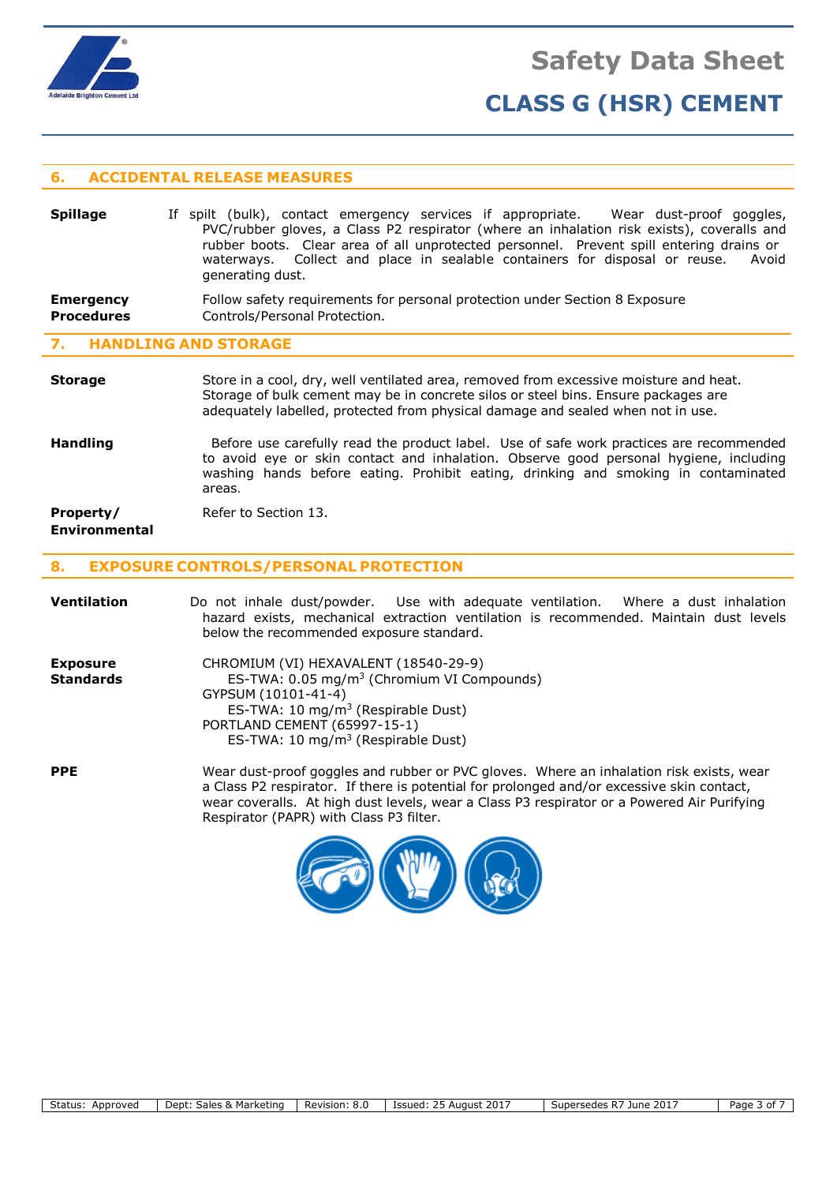

### **6. ACCIDENTAL RELEASE MEASURES**

| <b>Spillage</b> | If spilt (bulk), contact emergency services if appropriate.<br>Wear dust-proof goggles,   |
|-----------------|-------------------------------------------------------------------------------------------|
|                 | PVC/rubber gloves, a Class P2 respirator (where an inhalation risk exists), coveralls and |
|                 | rubber boots. Clear area of all unprotected personnel. Prevent spill entering drains or   |
|                 | waterways. Collect and place in sealable containers for disposal or reuse.<br>Avoid       |
|                 | generating dust.                                                                          |
|                 |                                                                                           |

#### **Emergency Procedures** Follow safety requirements for personal protection under Section 8 Exposure Controls/Personal Protection.

# **7. HANDLING AND STORAGE**

#### **Storage** Store in a cool, dry, well ventilated area, removed from excessive moisture and heat. Storage of bulk cement may be in concrete silos or steel bins. Ensure packages are adequately labelled, protected from physical damage and sealed when not in use.

**Handling** Before use carefully read the product label. Use of safe work practices are recommended to avoid eye or skin contact and inhalation. Observe good personal hygiene, including washing hands before eating. Prohibit eating, drinking and smoking in contaminated areas.

#### **Property/** Refer to Section 13. **Environmental**

#### **8. EXPOSURE CONTROLS/PERSONAL PROTECTION**

| <b>Ventilation</b>                  | Do not inhale dust/powder. Use with adequate ventilation. Where a dust inhalation<br>hazard exists, mechanical extraction ventilation is recommended. Maintain dust levels<br>below the recommended exposure standard.                                                                                                        |
|-------------------------------------|-------------------------------------------------------------------------------------------------------------------------------------------------------------------------------------------------------------------------------------------------------------------------------------------------------------------------------|
| <b>Exposure</b><br><b>Standards</b> | CHROMIUM (VI) HEXAVALENT (18540-29-9)<br>ES-TWA: 0.05 mg/m <sup>3</sup> (Chromium VI Compounds)<br>GYPSUM (10101-41-4)<br>ES-TWA: $10 \text{ mg/m}^3$ (Respirable Dust)<br>PORTLAND CEMENT (65997-15-1)<br>ES-TWA: 10 mg/m <sup>3</sup> (Respirable Dust)                                                                     |
| <b>PPE</b>                          | Wear dust-proof goggles and rubber or PVC gloves. Where an inhalation risk exists, wear<br>a Class P2 respirator. If there is potential for prolonged and/or excessive skin contact,<br>wear coveralls. At high dust levels, wear a Class P3 respirator or a Powered Air Purifying<br>Respirator (PAPR) with Class P3 filter. |

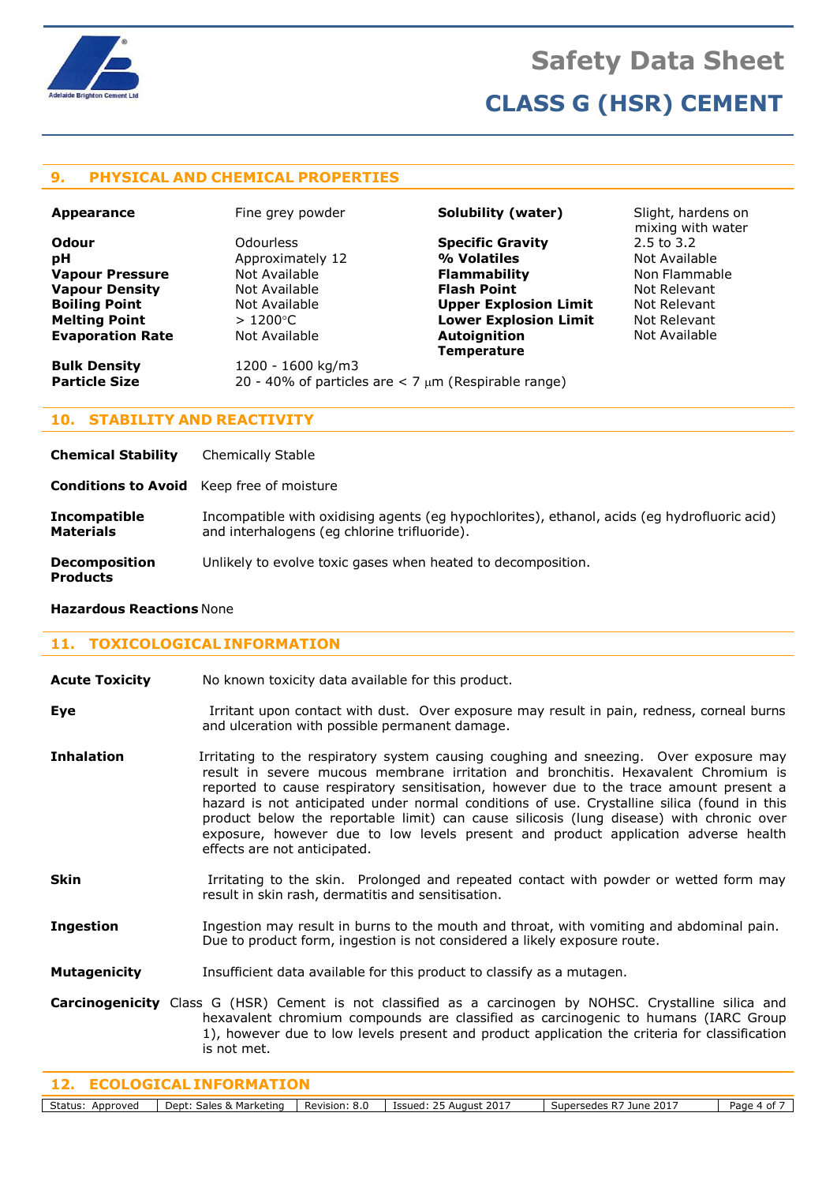

### **9. PHYSICAL AND CHEMICAL PROPERTIES**

| <b>Appearance</b>       | Fine grey powder  | Solubility (water)                                         | Slight, hardens on<br>mixing with water |
|-------------------------|-------------------|------------------------------------------------------------|-----------------------------------------|
| <b>Odour</b>            | Odourless         | <b>Specific Gravity</b>                                    | $2.5$ to $3.2$                          |
| рH                      | Approximately 12  | % Volatiles                                                | Not Available                           |
| <b>Vapour Pressure</b>  | Not Available     | <b>Flammability</b>                                        | Non Flammable                           |
| <b>Vapour Density</b>   | Not Available     | <b>Flash Point</b>                                         | Not Relevant                            |
| <b>Boiling Point</b>    | Not Available     | <b>Upper Explosion Limit</b>                               | Not Relevant                            |
| <b>Melting Point</b>    | $>1200^{\circ}$ C | <b>Lower Explosion Limit</b>                               | Not Relevant                            |
| <b>Evaporation Rate</b> | Not Available     | Autoignition                                               | Not Available                           |
|                         |                   | <b>Temperature</b>                                         |                                         |
| <b>Bulk Density</b>     | 1200 - 1600 kg/m3 |                                                            |                                         |
| <b>Particle Size</b>    |                   | 20 - 40% of particles are $<$ 7 $\mu$ m (Respirable range) |                                         |

### **10. STABILITY AND REACTIVITY**

**Chemical Stability** Chemically Stable

**Conditions to Avoid** Keep free of moisture

**Incompatible** Incompatible with oxidising agents (eg hypochlorites), ethanol, acids (eg hydrofluoric acid) **Materials** and interhalogens (eq chlorine trifluoride).

**Decomposition** Unlikely to evolve toxic gases when heated to decomposition.

**Products**

# **11. TOXICOLOGICAL INFORMATION**

**Hazardous Reactions** None

**Acute Toxicity** No known toxicity data available for this product.

**Eye** Irritant upon contact with dust. Over exposure may result in pain, redness, corneal burns and ulceration with possible permanent damage.

- **Inhalation I**rritating to the respiratory system causing coughing and sneezing. Over exposure may result in severe mucous membrane irritation and bronchitis. Hexavalent Chromium is reported to cause respiratory sensitisation, however due to the trace amount present a hazard is not anticipated under normal conditions of use. Crystalline silica (found in this product below the reportable limit) can cause silicosis (lung disease) with chronic over exposure, however due to low levels present and product application adverse health effects are not anticipated.
- **Skin I**rritating to the skin. Prolonged and repeated contact with powder or wetted form may result in skin rash, dermatitis and sensitisation.
- **Ingestion** Ingestion may result in burns to the mouth and throat, with vomiting and abdominal pain. Due to product form, ingestion is not considered a likely exposure route.
- **Mutagenicity** Insufficient data available for this product to classify as a mutagen.
- **Carcinogenicity** Class G (HSR) Cement is not classified as a carcinogen by NOHSC. Crystalline silica and hexavalent chromium compounds are classified as carcinogenic to humans (IARC Group 1), however due to low levels present and product application the criteria for classification is not met.

| Status:<br>Approved | Dept:<br>v.<br><b>rketing</b><br>عماجہ<br>гмаг. | Revision:<br>o.u<br>rc | August 2017<br>1001101<br>⊥ບບບ | 2017<br><b>LINA</b><br>seues | aae,<br>$\mathbf{u}$ |
|---------------------|-------------------------------------------------|------------------------|--------------------------------|------------------------------|----------------------|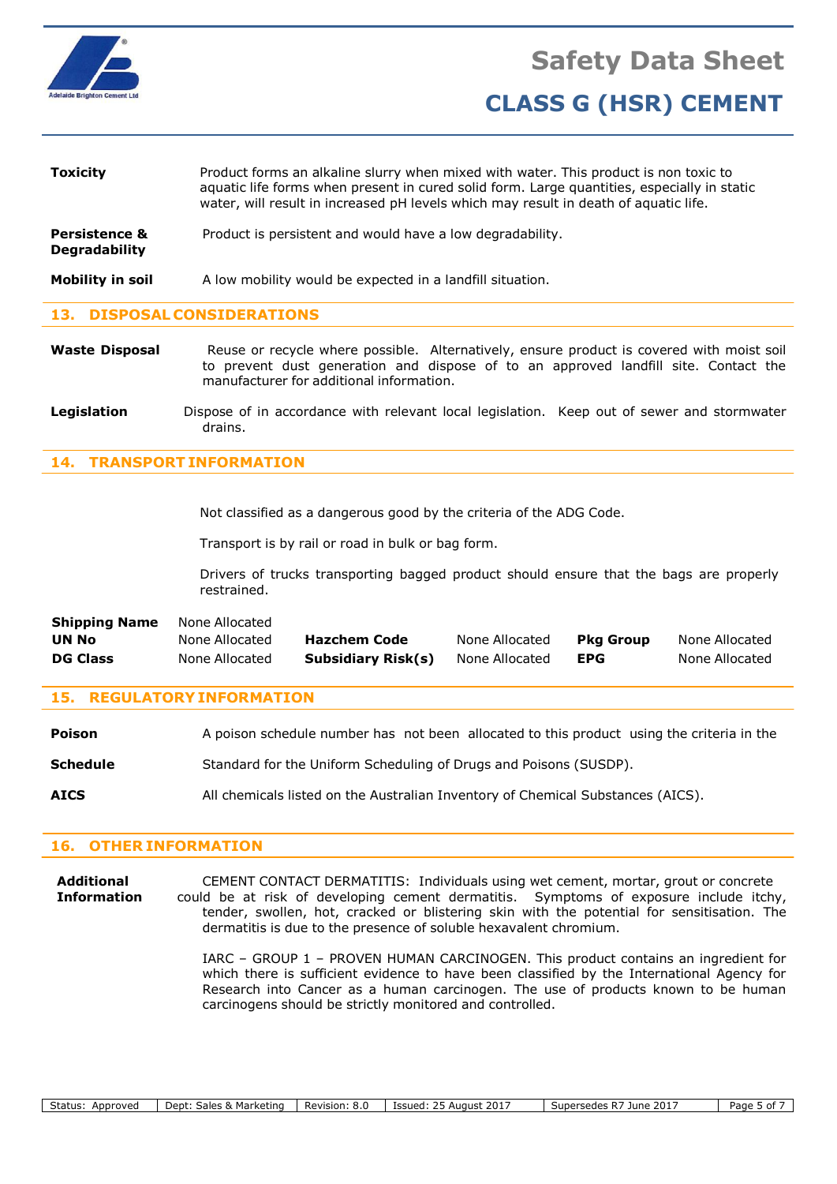

| <b>Toxicity</b>                                  | Product forms an alkaline slurry when mixed with water. This product is non toxic to<br>aquatic life forms when present in cured solid form. Large quantities, especially in static<br>water, will result in increased pH levels which may result in death of aquatic life. |
|--------------------------------------------------|-----------------------------------------------------------------------------------------------------------------------------------------------------------------------------------------------------------------------------------------------------------------------------|
| <b>Persistence &amp;</b><br><b>Degradability</b> | Product is persistent and would have a low degradability.                                                                                                                                                                                                                   |
| Mobility in soil                                 | A low mobility would be expected in a landfill situation.                                                                                                                                                                                                                   |

### **13. DISPOSAL CONSIDERATIONS**

- **Waste Disposal** Reuse or recycle where possible. Alternatively, ensure product is covered with moist soil to prevent dust generation and dispose of to an approved landfill site. Contact the manufacturer for additional information.
- Legislation **Dispose of in accordance with relevant local legislation. Keep out of sewer and stormwater** drains.

### **14. TRANSPORT INFORMATION**

Not classified as a dangerous good by the criteria of the ADG Code.

Transport is by rail or road in bulk or bag form.

Drivers of trucks transporting bagged product should ensure that the bags are properly restrained.

| <b>Shipping Name</b> | None Allocated |                     |                |           |                |
|----------------------|----------------|---------------------|----------------|-----------|----------------|
| UN No                | None Allocated | <b>Hazchem Code</b> | None Allocated | Pka Group | None Allocated |
| <b>DG Class</b>      | None Allocated | Subsidiary Risk(s)  | None Allocated | EPG       | None Allocated |

#### **15. REGULATORY INFORMATION**

| <b>Poison</b>   | A poison schedule number has not been allocated to this product using the criteria in the |
|-----------------|-------------------------------------------------------------------------------------------|
| <b>Schedule</b> | Standard for the Uniform Scheduling of Drugs and Poisons (SUSDP).                         |
| <b>AICS</b>     | All chemicals listed on the Australian Inventory of Chemical Substances (AICS).           |

#### **16. OTHER INFORMATION**

**Additional** CEMENT CONTACT DERMATITIS: Individuals using wet cement, mortar, grout or concrete **Information** could be at risk of developing cement dermatitis. Symptoms of exposure include itchy, tender, swollen, hot, cracked or blistering skin with the potential for sensitisation. The dermatitis is due to the presence of soluble hexavalent chromium.

> IARC – GROUP 1 – PROVEN HUMAN CARCINOGEN. This product contains an ingredient for which there is sufficient evidence to have been classified by the International Agency for Research into Cancer as a human carcinogen. The use of products known to be human carcinogens should be strictly monitored and controlled.

| Status:<br>Approved | Dept:<br>.<br>sales.<br>. Marketing<br>$\alpha$ | Revision:<br>.<br>. | August 2017<br>Issued: | $\sim$ Supersedes P <sup>-7</sup><br>$.201^-$<br>June | dage '<br>0t |
|---------------------|-------------------------------------------------|---------------------|------------------------|-------------------------------------------------------|--------------|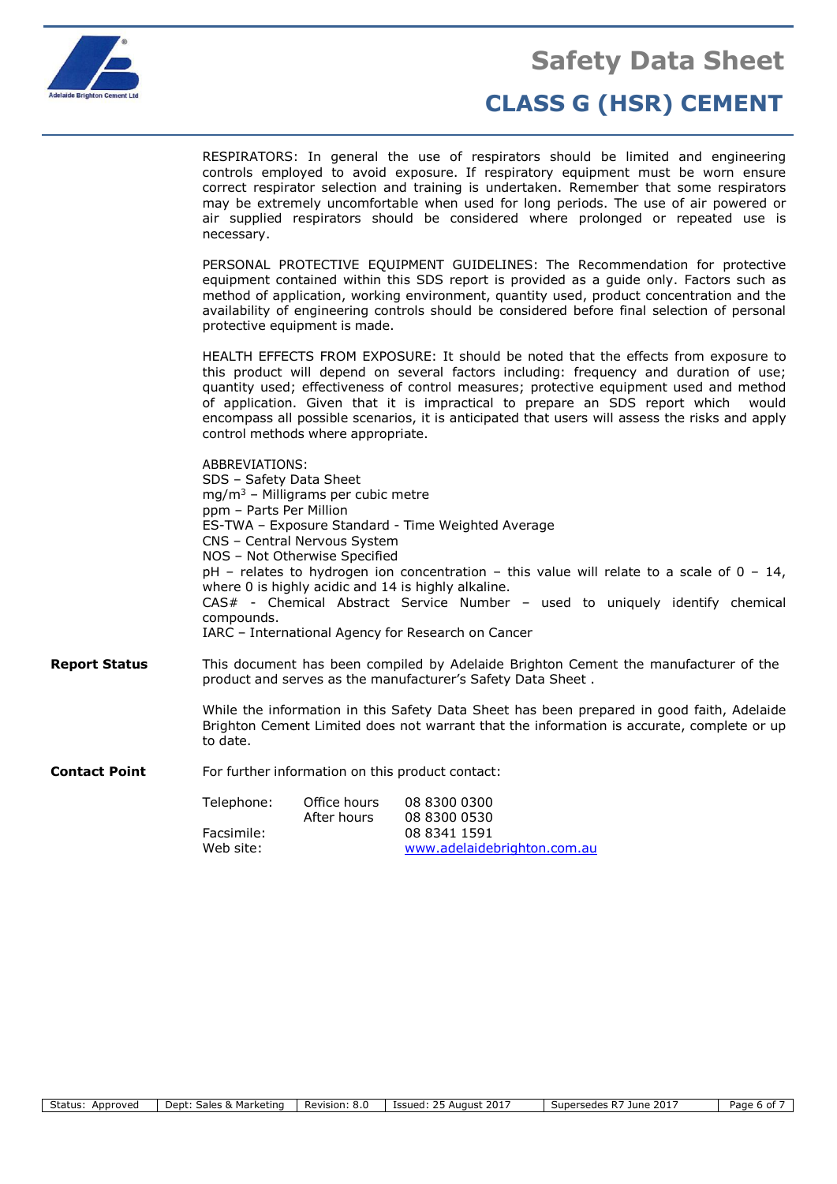

# **Safety Data Sheet**

# **CLASS G (HSR) CEMENT**

RESPIRATORS: In general the use of respirators should be limited and engineering controls employed to avoid exposure. If respiratory equipment must be worn ensure correct respirator selection and training is undertaken. Remember that some respirators may be extremely uncomfortable when used for long periods. The use of air powered or air supplied respirators should be considered where prolonged or repeated use is necessary.

PERSONAL PROTECTIVE EQUIPMENT GUIDELINES: The Recommendation for protective equipment contained within this SDS report is provided as a guide only. Factors such as method of application, working environment, quantity used, product concentration and the availability of engineering controls should be considered before final selection of personal protective equipment is made.

HEALTH EFFECTS FROM EXPOSURE: It should be noted that the effects from exposure to this product will depend on several factors including: frequency and duration of use; quantity used; effectiveness of control measures; protective equipment used and method of application. Given that it is impractical to prepare an SDS report which would encompass all possible scenarios, it is anticipated that users will assess the risks and apply control methods where appropriate.

|                      | ADDREVIATIONS.<br>SDS - Safety Data Sheet<br>ppm - Parts Per Million<br>compounds.                                                                                                                 | $mg/m3$ – Milligrams per cubic metre<br>CNS - Central Nervous System<br>NOS - Not Otherwise Specified | ES-TWA - Exposure Standard - Time Weighted Average<br>$pH$ – relates to hydrogen ion concentration – this value will relate to a scale of 0 – 14,<br>where 0 is highly acidic and 14 is highly alkaline.<br>CAS# - Chemical Abstract Service Number - used to uniquely identify chemical<br>IARC – International Agency for Research on Cancer |  |  |
|----------------------|----------------------------------------------------------------------------------------------------------------------------------------------------------------------------------------------------|-------------------------------------------------------------------------------------------------------|------------------------------------------------------------------------------------------------------------------------------------------------------------------------------------------------------------------------------------------------------------------------------------------------------------------------------------------------|--|--|
| Report Status        | This document has been compiled by Adelaide Brighton Cement the manufacturer of the<br>product and serves as the manufacturer's Safety Data Sheet.                                                 |                                                                                                       |                                                                                                                                                                                                                                                                                                                                                |  |  |
|                      | While the information in this Safety Data Sheet has been prepared in good faith, Adelaide<br>Brighton Cement Limited does not warrant that the information is accurate, complete or up<br>to date. |                                                                                                       |                                                                                                                                                                                                                                                                                                                                                |  |  |
| <b>Contact Point</b> | For further information on this product contact:                                                                                                                                                   |                                                                                                       |                                                                                                                                                                                                                                                                                                                                                |  |  |
|                      | Telephone:                                                                                                                                                                                         | Office hours<br>$A$ ftor bours                                                                        | 08 8300 0300<br>LOO ODAN NEDN                                                                                                                                                                                                                                                                                                                  |  |  |

ABBREVIATIONS:

| Telephone: | Office hours | 08 8300 0300                |
|------------|--------------|-----------------------------|
|            | After hours  | 08 8300 0530                |
| Facsimile: |              | 08 8341 1591                |
| Web site:  |              | www.adelaidebrighton.com.au |